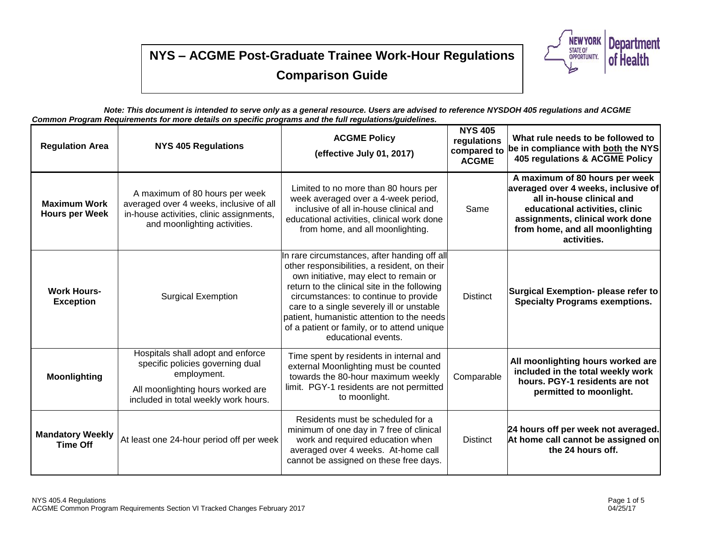

| <b>Regulation Area</b>                       | <b>NYS 405 Regulations</b>                                                                                                                                        | <b>ACGME Policy</b><br>(effective July 01, 2017)                                                                                                                                                                                                                                                                                                                                                 | <b>NYS 405</b><br>regulations<br>compared to<br><b>ACGME</b> | What rule needs to be followed to<br>be in compliance with both the NYS<br>405 regulations & ACGME Policy                                                                                                                 |
|----------------------------------------------|-------------------------------------------------------------------------------------------------------------------------------------------------------------------|--------------------------------------------------------------------------------------------------------------------------------------------------------------------------------------------------------------------------------------------------------------------------------------------------------------------------------------------------------------------------------------------------|--------------------------------------------------------------|---------------------------------------------------------------------------------------------------------------------------------------------------------------------------------------------------------------------------|
| <b>Maximum Work</b><br><b>Hours per Week</b> | A maximum of 80 hours per week<br>averaged over 4 weeks, inclusive of all<br>in-house activities, clinic assignments,<br>and moonlighting activities.             | Limited to no more than 80 hours per<br>week averaged over a 4-week period,<br>inclusive of all in-house clinical and<br>educational activities, clinical work done<br>from home, and all moonlighting.                                                                                                                                                                                          | Same                                                         | A maximum of 80 hours per week<br>averaged over 4 weeks, inclusive of<br>all in-house clinical and<br>educational activities, clinic<br>assignments, clinical work done<br>from home, and all moonlighting<br>activities. |
| <b>Work Hours-</b><br><b>Exception</b>       | <b>Surgical Exemption</b>                                                                                                                                         | In rare circumstances, after handing off all<br>other responsibilities, a resident, on their<br>own initiative, may elect to remain or<br>return to the clinical site in the following<br>circumstances: to continue to provide<br>care to a single severely ill or unstable<br>patient, humanistic attention to the needs<br>of a patient or family, or to attend unique<br>educational events. | <b>Distinct</b>                                              | <b>Surgical Exemption- please refer to</b><br><b>Specialty Programs exemptions.</b>                                                                                                                                       |
| <b>Moonlighting</b>                          | Hospitals shall adopt and enforce<br>specific policies governing dual<br>employment.<br>All moonlighting hours worked are<br>included in total weekly work hours. | Time spent by residents in internal and<br>external Moonlighting must be counted<br>towards the 80-hour maximum weekly<br>limit. PGY-1 residents are not permitted<br>to moonlight.                                                                                                                                                                                                              | Comparable                                                   | All moonlighting hours worked are<br>included in the total weekly work<br>hours. PGY-1 residents are not<br>permitted to moonlight.                                                                                       |
| <b>Mandatory Weekly</b><br><b>Time Off</b>   | At least one 24-hour period off per week                                                                                                                          | Residents must be scheduled for a<br>minimum of one day in 7 free of clinical<br>work and required education when<br>averaged over 4 weeks. At-home call<br>cannot be assigned on these free days.                                                                                                                                                                                               | <b>Distinct</b>                                              | 24 hours off per week not averaged.<br>At home call cannot be assigned on<br>the 24 hours off.                                                                                                                            |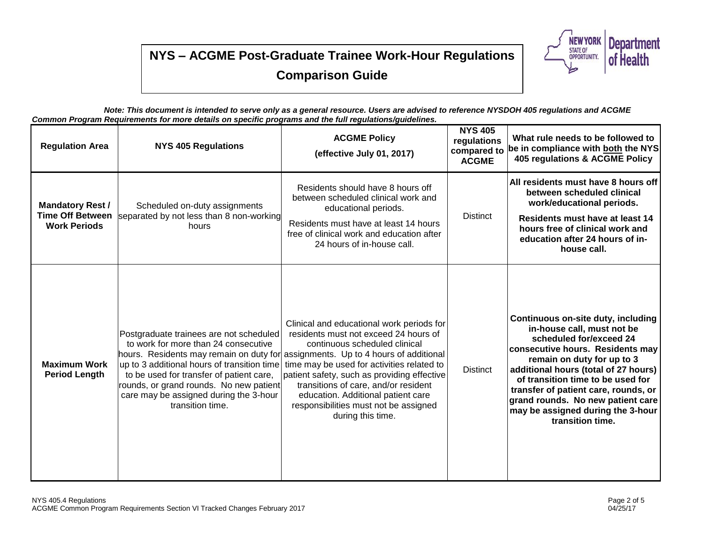

| <b>Regulation Area</b>                                                    | <b>NYS 405 Regulations</b>                                                                                                                                                                                                                                                          | <b>ACGME Policy</b><br>(effective July 01, 2017)                                                                                                                                                                                                                                                                                                                                                                                                 | <b>NYS 405</b><br>regulations<br>compared to<br><b>ACGME</b> | What rule needs to be followed to<br>be in compliance with both the NYS<br>405 regulations & ACGME Policy                                                                                                                                                                                                                                                                        |
|---------------------------------------------------------------------------|-------------------------------------------------------------------------------------------------------------------------------------------------------------------------------------------------------------------------------------------------------------------------------------|--------------------------------------------------------------------------------------------------------------------------------------------------------------------------------------------------------------------------------------------------------------------------------------------------------------------------------------------------------------------------------------------------------------------------------------------------|--------------------------------------------------------------|----------------------------------------------------------------------------------------------------------------------------------------------------------------------------------------------------------------------------------------------------------------------------------------------------------------------------------------------------------------------------------|
| <b>Mandatory Rest /</b><br><b>Time Off Between</b><br><b>Work Periods</b> | Scheduled on-duty assignments<br>separated by not less than 8 non-working<br>hours                                                                                                                                                                                                  | Residents should have 8 hours off<br>between scheduled clinical work and<br>educational periods.<br>Residents must have at least 14 hours<br>free of clinical work and education after<br>24 hours of in-house call.                                                                                                                                                                                                                             | <b>Distinct</b>                                              | All residents must have 8 hours off<br>between scheduled clinical<br>work/educational periods.<br>Residents must have at least 14<br>hours free of clinical work and<br>education after 24 hours of in-<br>house call.                                                                                                                                                           |
| <b>Maximum Work</b><br><b>Period Length</b>                               | Postgraduate trainees are not scheduled<br>to work for more than 24 consecutive<br>up to 3 additional hours of transition time<br>to be used for transfer of patient care,<br>rounds, or grand rounds. No new patient<br>care may be assigned during the 3-hour<br>transition time. | Clinical and educational work periods for<br>residents must not exceed 24 hours of<br>continuous scheduled clinical<br>hours. Residents may remain on duty for assignments. Up to 4 hours of additional<br>time may be used for activities related to<br>patient safety, such as providing effective<br>transitions of care, and/or resident<br>education. Additional patient care<br>responsibilities must not be assigned<br>during this time. | <b>Distinct</b>                                              | Continuous on-site duty, including<br>in-house call, must not be<br>scheduled for/exceed 24<br>consecutive hours. Residents may<br>remain on duty for up to 3<br>additional hours (total of 27 hours)<br>of transition time to be used for<br>transfer of patient care, rounds, or<br>grand rounds. No new patient care<br>may be assigned during the 3-hour<br>transition time. |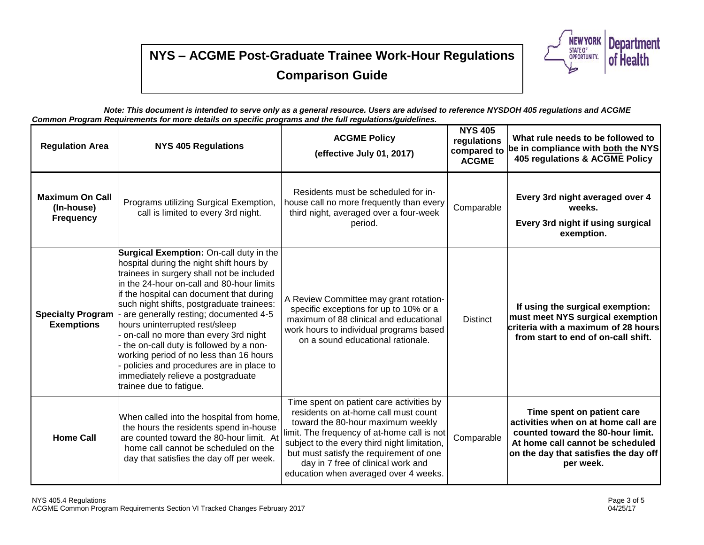

| <b>Regulation Area</b>                                   | <b>NYS 405 Regulations</b>                                                                                                                                                                                                                                                                                                                                                                                                                                                                                                                                                                        | <b>ACGME Policy</b><br>(effective July 01, 2017)                                                                                                                                                                                                                                                                                               | <b>NYS 405</b><br>regulations<br>compared to<br><b>ACGME</b> | What rule needs to be followed to<br>be in compliance with both the NYS<br>405 regulations & ACGME Policy                                                                                        |
|----------------------------------------------------------|---------------------------------------------------------------------------------------------------------------------------------------------------------------------------------------------------------------------------------------------------------------------------------------------------------------------------------------------------------------------------------------------------------------------------------------------------------------------------------------------------------------------------------------------------------------------------------------------------|------------------------------------------------------------------------------------------------------------------------------------------------------------------------------------------------------------------------------------------------------------------------------------------------------------------------------------------------|--------------------------------------------------------------|--------------------------------------------------------------------------------------------------------------------------------------------------------------------------------------------------|
| <b>Maximum On Call</b><br>(In-house)<br><b>Frequency</b> | Programs utilizing Surgical Exemption,<br>call is limited to every 3rd night.                                                                                                                                                                                                                                                                                                                                                                                                                                                                                                                     | Residents must be scheduled for in-<br>house call no more frequently than every<br>third night, averaged over a four-week<br>period.                                                                                                                                                                                                           | Comparable                                                   | Every 3rd night averaged over 4<br>weeks.<br>Every 3rd night if using surgical<br>exemption.                                                                                                     |
| <b>Specialty Program</b><br><b>Exemptions</b>            | <b>Surgical Exemption: On-call duty in the</b><br>hospital during the night shift hours by<br>trainees in surgery shall not be included<br>in the 24-hour on-call and 80-hour limits<br>if the hospital can document that during<br>such night shifts, postgraduate trainees:<br>are generally resting; documented 4-5<br>hours uninterrupted rest/sleep<br>on-call no more than every 3rd night<br>the on-call duty is followed by a non-<br>working period of no less than 16 hours<br>policies and procedures are in place to<br>immediately relieve a postgraduate<br>trainee due to fatigue. | A Review Committee may grant rotation-<br>specific exceptions for up to 10% or a<br>maximum of 88 clinical and educational<br>work hours to individual programs based<br>on a sound educational rationale.                                                                                                                                     | <b>Distinct</b>                                              | If using the surgical exemption:<br>must meet NYS surgical exemption<br>criteria with a maximum of 28 hours<br>from start to end of on-call shift.                                               |
| <b>Home Call</b>                                         | When called into the hospital from home,<br>the hours the residents spend in-house<br>are counted toward the 80-hour limit. At<br>home call cannot be scheduled on the<br>day that satisfies the day off per week.                                                                                                                                                                                                                                                                                                                                                                                | Time spent on patient care activities by<br>residents on at-home call must count<br>toward the 80-hour maximum weekly<br>limit. The frequency of at-home call is not<br>subject to the every third night limitation,<br>but must satisfy the requirement of one<br>day in 7 free of clinical work and<br>education when averaged over 4 weeks. | Comparable                                                   | Time spent on patient care<br>activities when on at home call are<br>counted toward the 80-hour limit.<br>At home call cannot be scheduled<br>on the day that satisfies the day off<br>per week. |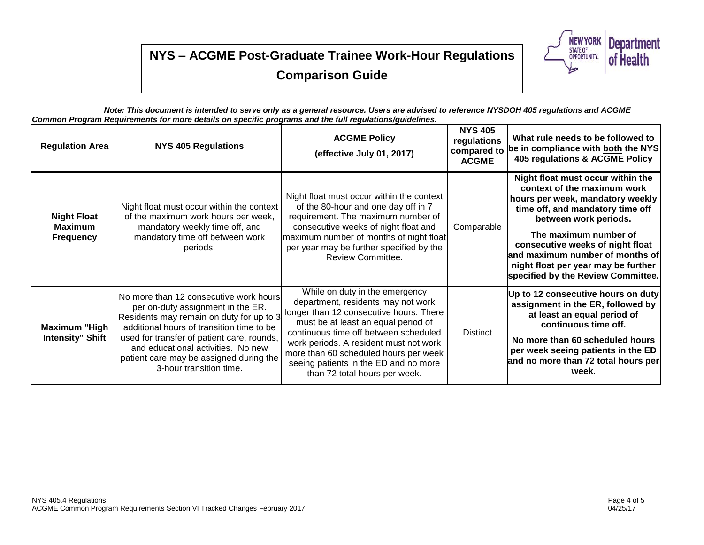

| <b>Regulation Area</b>                                   | <b>NYS 405 Regulations</b>                                                                                                                                                                                                                                                                                                     | <b>ACGME Policy</b><br>(effective July 01, 2017)                                                                                                                                                                                                                                                                                                             | <b>NYS 405</b><br>regulations<br>compared to<br><b>ACGME</b> | What rule needs to be followed to<br>be in compliance with both the NYS<br>405 regulations & ACGME Policy                                                                                                                                                                                                                                      |
|----------------------------------------------------------|--------------------------------------------------------------------------------------------------------------------------------------------------------------------------------------------------------------------------------------------------------------------------------------------------------------------------------|--------------------------------------------------------------------------------------------------------------------------------------------------------------------------------------------------------------------------------------------------------------------------------------------------------------------------------------------------------------|--------------------------------------------------------------|------------------------------------------------------------------------------------------------------------------------------------------------------------------------------------------------------------------------------------------------------------------------------------------------------------------------------------------------|
| <b>Night Float</b><br><b>Maximum</b><br><b>Frequency</b> | Night float must occur within the context<br>of the maximum work hours per week,<br>mandatory weekly time off, and<br>mandatory time off between work<br>periods.                                                                                                                                                              | Night float must occur within the context<br>of the 80-hour and one day off in 7<br>requirement. The maximum number of<br>consecutive weeks of night float and<br>maximum number of months of night float<br>per year may be further specified by the<br><b>Review Committee.</b>                                                                            | Comparable                                                   | Night float must occur within the<br>context of the maximum work<br>hours per week, mandatory weekly<br>time off, and mandatory time off<br>between work periods.<br>The maximum number of<br>consecutive weeks of night float<br>and maximum number of months of<br>night float per year may be further<br>specified by the Review Committee. |
| Maximum "High<br><b>Intensity" Shift</b>                 | No more than 12 consecutive work hours<br>per on-duty assignment in the ER.<br>Residents may remain on duty for up to 3<br>additional hours of transition time to be<br>used for transfer of patient care, rounds,<br>and educational activities. No new<br>patient care may be assigned during the<br>3-hour transition time. | While on duty in the emergency<br>department, residents may not work<br>longer than 12 consecutive hours. There<br>must be at least an equal period of<br>continuous time off between scheduled<br>work periods. A resident must not work<br>more than 60 scheduled hours per week<br>seeing patients in the ED and no more<br>than 72 total hours per week. | <b>Distinct</b>                                              | Up to 12 consecutive hours on duty<br>assignment in the ER, followed by<br>at least an equal period of<br>continuous time off.<br>No more than 60 scheduled hours<br>per week seeing patients in the ED<br>and no more than 72 total hours per<br>week.                                                                                        |